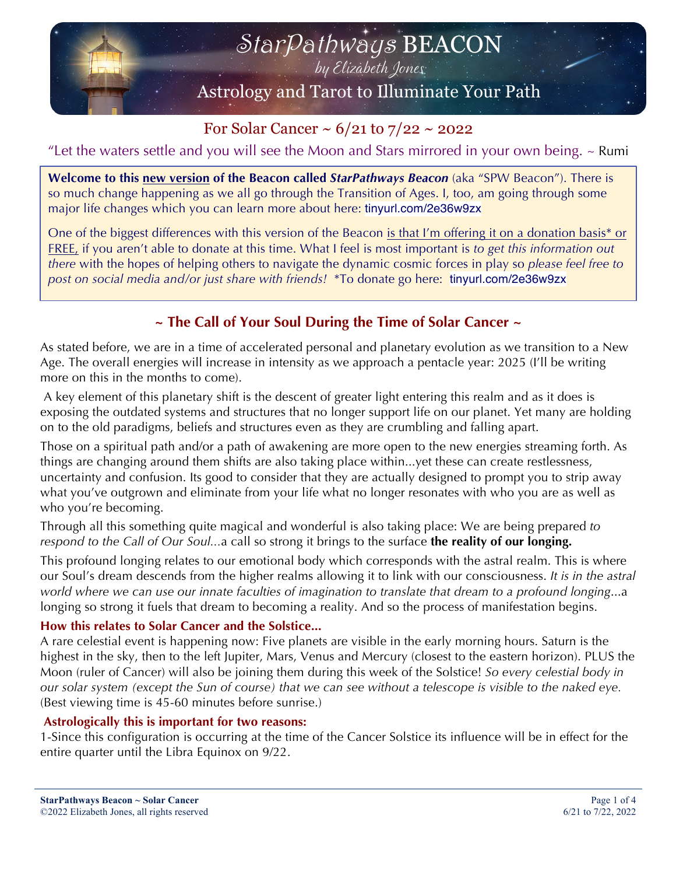

For Solar Cancer ~  $6/21$  to  $7/22$  ~ 2022

"Let the waters settle and you will see the Moon and Stars mirrored in your own being.  $\sim$  Rumi

**Welcome to this new version of the Beacon called** *StarPathways Beacon* (aka "SPW Beacon"). There is so much change happening as we all go through the Transition of Ages. I, too, am going through some major life changes which you can learn more about here: tinyurl.com/2e36w9zx

One of the biggest differences with this version of the Beacon is that I'm offering it on a donation basis\* or FREE, if you aren't able to donate at this time. What I feel is most important is *to get this information out there* with the hopes of helping others to navigate the dynamic cosmic forces in play so *please feel free to post on social media and/or just share with friends!* \*To donate go here: tinyurl.com/2e36w9zx

# **~ The Call of Your Soul During the Time of Solar Cancer ~**

As stated before, we are in a time of accelerated personal and planetary evolution as we transition to a New Age. The overall energies will increase in intensity as we approach a pentacle year: 2025 (I'll be writing more on this in the months to come).

A key element of this planetary shift is the descent of greater light entering this realm and as it does is exposing the outdated systems and structures that no longer support life on our planet. Yet many are holding on to the old paradigms, beliefs and structures even as they are crumbling and falling apart.

Those on a spiritual path and/or a path of awakening are more open to the new energies streaming forth. As things are changing around them shifts are also taking place within...yet these can create restlessness, uncertainty and confusion. Its good to consider that they are actually designed to prompt you to strip away what you've outgrown and eliminate from your life what no longer resonates with who you are as well as who you're becoming.

Through all this something quite magical and wonderful is also taking place: We are being prepared *to respond to the Call of Our Soul...*a call so strong it brings to the surface **the reality of our longing.**

This profound longing relates to our emotional body which corresponds with the astral realm. This is where our Soul's dream descends from the higher realms allowing it to link with our consciousness. *It is in the astral world where we can use our innate faculties of imagination to translate that dream to a profound longing*...a longing so strong it fuels that dream to becoming a reality. And so the process of manifestation begins.

### **How this relates to Solar Cancer and the Solstice...**

A rare celestial event is happening now: Five planets are visible in the early morning hours. Saturn is the highest in the sky, then to the left Jupiter, Mars, Venus and Mercury (closest to the eastern horizon). PLUS the Moon (ruler of Cancer) will also be joining them during this week of the Solstice! *So every celestial body in our solar system (except the Sun of course) that we can see without a telescope is visible to the naked eye.* (Best viewing time is 45-60 minutes before sunrise.)

### **Astrologically this is important for two reasons:**

1-Since this configuration is occurring at the time of the Cancer Solstice its influence will be in effect for the entire quarter until the Libra Equinox on 9/22.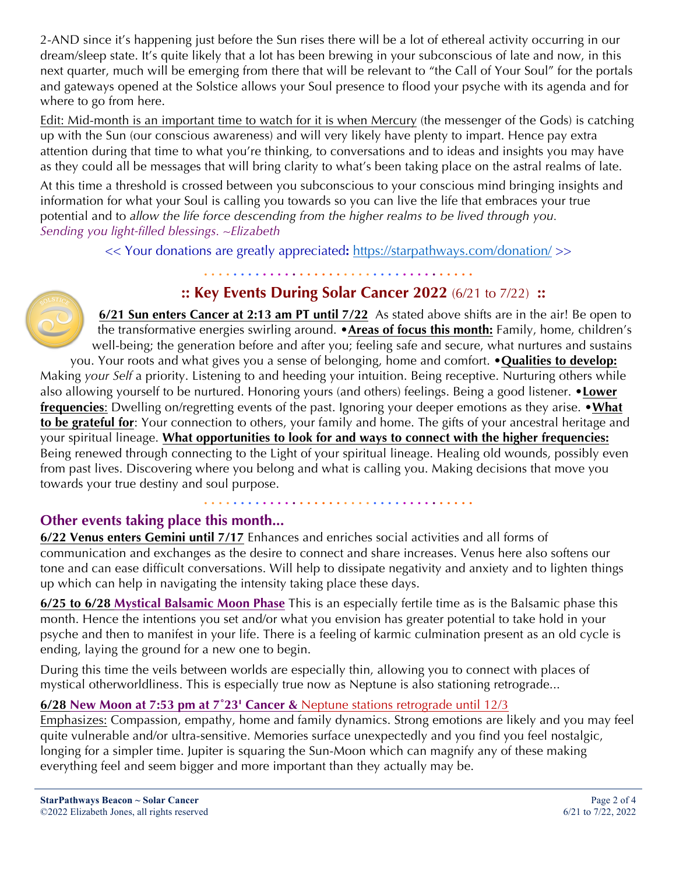2-AND since it's happening just before the Sun rises there will be a lot of ethereal activity occurring in our dream/sleep state. It's quite likely that a lot has been brewing in your subconscious of late and now, in this next quarter, much will be emerging from there that will be relevant to "the Call of Your Soul" for the portals and gateways opened at the Solstice allows your Soul presence to flood your psyche with its agenda and for where to go from here.

Edit: Mid-month is an important time to watch for it is when Mercury (the messenger of the Gods) is catching up with the Sun (our conscious awareness) and will very likely have plenty to impart. Hence pay extra attention during that time to what you're thinking, to conversations and to ideas and insights you may have as they could all be messages that will bring clarity to what's been taking place on the astral realms of late.

At this time a threshold is crossed between you subconscious to your conscious mind bringing insights and information for what your Soul is calling you towards so you can live the life that embraces your true potential and to *allow the life force descending from the higher realms to be lived through you. Sending you light-filled blessings. ~Elizabeth*

<< Your donations are greatly appreciated**:** https://starpathways.com/donation/ >>

**. . . . . . . . . . . . . . . . . . . . . . . . . . . . . . . . . . . . .**

# **:: Key Events During Solar Cancer 2022** (6/21 to 7/22) **::**



**6/21 Sun enters Cancer at 2:13 am PT until 7/22** As stated above shifts are in the air! Be open to the transformative energies swirling around. •**Areas of focus this month:** Family, home, children's well-being; the generation before and after you; feeling safe and secure, what nurtures and sustains

you. Your roots and what gives you a sense of belonging, home and comfort. •**Qualities to develop:** Making *your Self* a priority. Listening to and heeding your intuition. Being receptive. Nurturing others while also allowing yourself to be nurtured. Honoring yours (and others) feelings. Being a good listener. •**Lower frequencies**: Dwelling on/regretting events of the past. Ignoring your deeper emotions as they arise. •**What to be grateful for**: Your connection to others, your family and home. The gifts of your ancestral heritage and your spiritual lineage. **What opportunities to look for and ways to connect with the higher frequencies:** Being renewed through connecting to the Light of your spiritual lineage. Healing old wounds, possibly even from past lives. Discovering where you belong and what is calling you. Making decisions that move you towards your true destiny and soul purpose.

**. . . . . . . . . . . . . . . . . . . . . . . . . . . . . . . . . . . . .**

# **Other events taking place this month...**

**6/22 Venus enters Gemini until 7/17** Enhances and enriches social activities and all forms of communication and exchanges as the desire to connect and share increases. Venus here also softens our tone and can ease difficult conversations. Will help to dissipate negativity and anxiety and to lighten things up which can help in navigating the intensity taking place these days.

**6/25 to 6/28 Mystical Balsamic Moon Phase** This is an especially fertile time as is the Balsamic phase this month. Hence the intentions you set and/or what you envision has greater potential to take hold in your psyche and then to manifest in your life. There is a feeling of karmic culmination present as an old cycle is ending, laying the ground for a new one to begin.

During this time the veils between worlds are especially thin, allowing you to connect with places of mystical otherworldliness. This is especially true now as Neptune is also stationing retrograde...

# **6/28 New Moon at 7:53 pm at 7˚23' Cancer &** Neptune stations retrograde until 12/3

Emphasizes: Compassion, empathy, home and family dynamics. Strong emotions are likely and you may feel quite vulnerable and/or ultra-sensitive. Memories surface unexpectedly and you find you feel nostalgic, longing for a simpler time. Jupiter is squaring the Sun-Moon which can magnify any of these making everything feel and seem bigger and more important than they actually may be.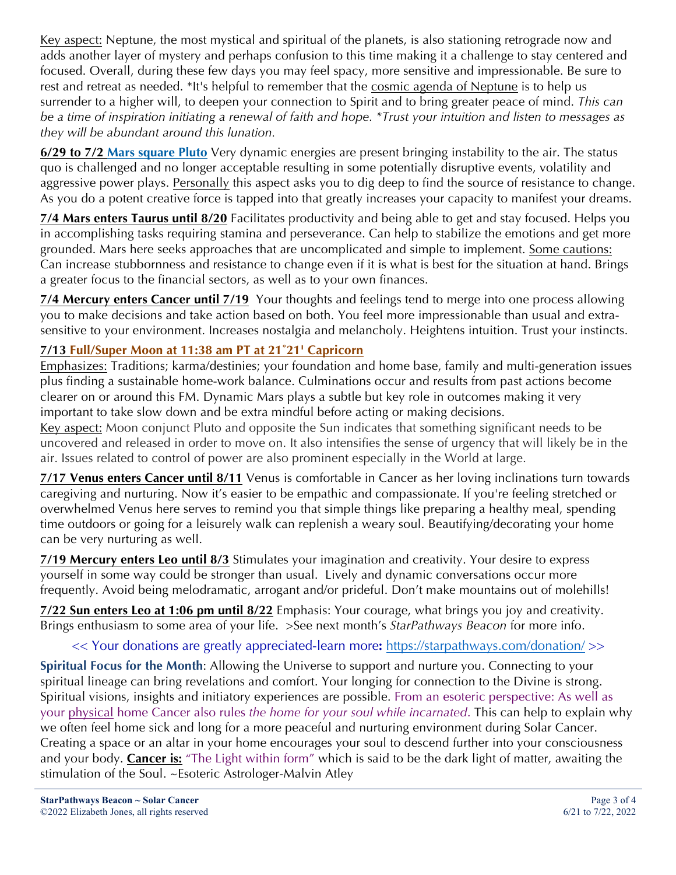Key aspect: Neptune, the most mystical and spiritual of the planets, is also stationing retrograde now and adds another layer of mystery and perhaps confusion to this time making it a challenge to stay centered and focused. Overall, during these few days you may feel spacy, more sensitive and impressionable. Be sure to rest and retreat as needed. \*It's helpful to remember that the cosmic agenda of Neptune is to help us surrender to a higher will, to deepen your connection to Spirit and to bring greater peace of mind. *This can be a time of inspiration initiating a renewal of faith and hope. \*Trust your intuition and listen to messages as they will be abundant around this lunation.*

**6/29 to 7/2 Mars square Pluto** Very dynamic energies are present bringing instability to the air. The status quo is challenged and no longer acceptable resulting in some potentially disruptive events, volatility and aggressive power plays. Personally this aspect asks you to dig deep to find the source of resistance to change. As you do a potent creative force is tapped into that greatly increases your capacity to manifest your dreams.

**7/4 Mars enters Taurus until 8/20** Facilitates productivity and being able to get and stay focused. Helps you in accomplishing tasks requiring stamina and perseverance. Can help to stabilize the emotions and get more grounded. Mars here seeks approaches that are uncomplicated and simple to implement. Some cautions: Can increase stubbornness and resistance to change even if it is what is best for the situation at hand. Brings a greater focus to the financial sectors, as well as to your own finances.

**7/4 Mercury enters Cancer until 7/19** Your thoughts and feelings tend to merge into one process allowing you to make decisions and take action based on both. You feel more impressionable than usual and extrasensitive to your environment. Increases nostalgia and melancholy. Heightens intuition. Trust your instincts.

# **7/13 Full/Super Moon at 11:38 am PT at 21˚21' Capricorn**

Emphasizes: Traditions; karma/destinies; your foundation and home base, family and multi-generation issues plus finding a sustainable home-work balance. Culminations occur and results from past actions become clearer on or around this FM. Dynamic Mars plays a subtle but key role in outcomes making it very important to take slow down and be extra mindful before acting or making decisions.

Key aspect: Moon conjunct Pluto and opposite the Sun indicates that something significant needs to be uncovered and released in order to move on. It also intensifies the sense of urgency that will likely be in the air. Issues related to control of power are also prominent especially in the World at large.

**7/17 Venus enters Cancer until 8/11** Venus is comfortable in Cancer as her loving inclinations turn towards caregiving and nurturing. Now it's easier to be empathic and compassionate. If you're feeling stretched or overwhelmed Venus here serves to remind you that simple things like preparing a healthy meal, spending time outdoors or going for a leisurely walk can replenish a weary soul. Beautifying/decorating your home can be very nurturing as well.

**7/19 Mercury enters Leo until 8/3** Stimulates your imagination and creativity. Your desire to express yourself in some way could be stronger than usual. Lively and dynamic conversations occur more frequently. Avoid being melodramatic, arrogant and/or prideful. Don't make mountains out of molehills!

**7/22 Sun enters Leo at 1:06 pm until 8/22** Emphasis: Your courage, what brings you joy and creativity. Brings enthusiasm to some area of your life. >See next month's *StarPathways Beacon* for more info.

# << Your donations are greatly appreciated-learn more**:** https://starpathways.com/donation/ >>

**Spiritual Focus for the Month**: Allowing the Universe to support and nurture you. Connecting to your spiritual lineage can bring revelations and comfort. Your longing for connection to the Divine is strong. Spiritual visions, insights and initiatory experiences are possible. From an esoteric perspective: As well as your physical home Cancer also rules *the home for your soul while incarnated*. This can help to explain why we often feel home sick and long for a more peaceful and nurturing environment during Solar Cancer. Creating a space or an altar in your home encourages your soul to descend further into your consciousness and your body. **Cancer is:** "The Light within form" which is said to be the dark light of matter, awaiting the stimulation of the Soul. ~Esoteric Astrologer-Malvin Atley